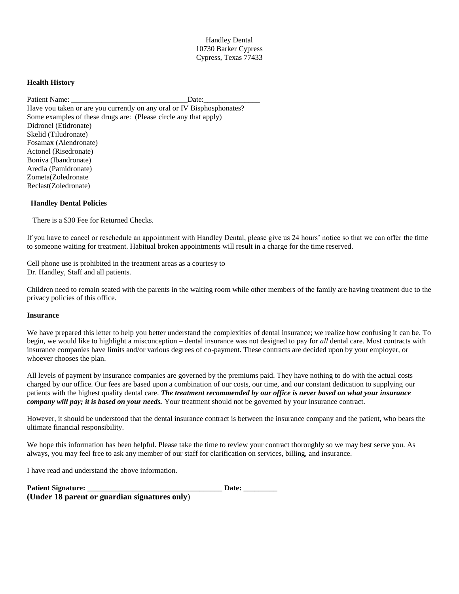Handley Dental 10730 Barker Cypress Cypress, Texas 77433

### **Health History**

Patient Name: \_\_\_\_\_\_\_\_\_\_\_\_\_\_\_\_\_\_\_\_\_\_\_\_\_\_\_\_\_\_\_Date:\_\_\_\_\_\_\_\_\_\_\_\_\_\_\_ Have you taken or are you currently on any oral or IV Bisphosphonates? Some examples of these drugs are: (Please circle any that apply) Didronel (Etidronate) Skelid (Tiludronate) Fosamax (Alendronate) Actonel (Risedronate) Boniva (Ibandronate) Aredia (Pamidronate) Zometa(Zoledronate Reclast(Zoledronate)

#### **Handley Dental Policies**

There is a \$30 Fee for Returned Checks.

If you have to cancel or reschedule an appointment with Handley Dental, please give us 24 hours' notice so that we can offer the time to someone waiting for treatment. Habitual broken appointments will result in a charge for the time reserved.

Cell phone use is prohibited in the treatment areas as a courtesy to Dr. Handley, Staff and all patients.

Children need to remain seated with the parents in the waiting room while other members of the family are having treatment due to the privacy policies of this office.

#### **Insurance**

We have prepared this letter to help you better understand the complexities of dental insurance; we realize how confusing it can be. To begin, we would like to highlight a misconception – dental insurance was not designed to pay for *all* dental care. Most contracts with insurance companies have limits and/or various degrees of co-payment. These contracts are decided upon by your employer, or whoever chooses the plan.

All levels of payment by insurance companies are governed by the premiums paid. They have nothing to do with the actual costs charged by our office. Our fees are based upon a combination of our costs, our time, and our constant dedication to supplying our patients with the highest quality dental care. *The treatment recommended by our office is never based on what your insurance company will pay; it is based on your needs.* Your treatment should not be governed by your insurance contract.

However, it should be understood that the dental insurance contract is between the insurance company and the patient, who bears the ultimate financial responsibility.

We hope this information has been helpful. Please take the time to review your contract thoroughly so we may best serve you. As always, you may feel free to ask any member of our staff for clarification on services, billing, and insurance.

I have read and understand the above information.

| <b>Patient Signature:</b> |  |  |
|---------------------------|--|--|
|                           |  |  |

**(Under 18 parent or guardian signatures only**)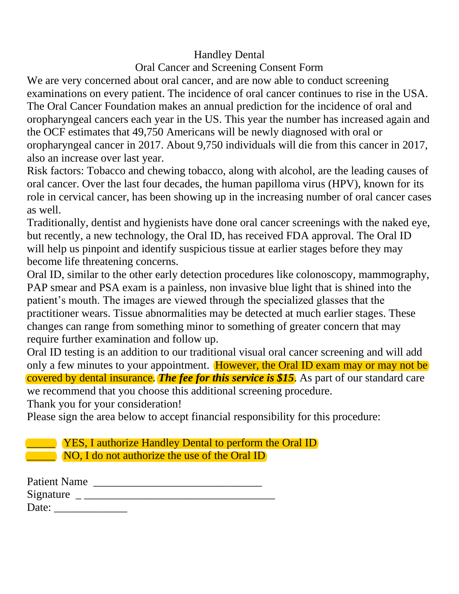## Handley Dental

# Oral Cancer and Screening Consent Form

We are very concerned about oral cancer, and are now able to conduct screening examinations on every patient. The incidence of oral cancer continues to rise in the USA. The Oral Cancer Foundation makes an annual prediction for the incidence of oral and oropharyngeal cancers each year in the US. This year the number has increased again and the OCF estimates that 49,750 Americans will be newly diagnosed with oral or oropharyngeal cancer in 2017. About 9,750 individuals will die from this cancer in 2017, also an increase over last year.

Risk factors: Tobacco and chewing tobacco, along with alcohol, are the leading causes of oral cancer. Over the last four decades, the human papilloma virus (HPV), known for its role in cervical cancer, has been showing up in the increasing number of oral cancer cases as well.

Traditionally, dentist and hygienists have done oral cancer screenings with the naked eye, but recently, a new technology, the Oral ID, has received FDA approval. The Oral ID will help us pinpoint and identify suspicious tissue at earlier stages before they may become life threatening concerns.

Oral ID, similar to the other early detection procedures like colonoscopy, mammography, PAP smear and PSA exam is a painless, non invasive blue light that is shined into the patient's mouth. The images are viewed through the specialized glasses that the practitioner wears. Tissue abnormalities may be detected at much earlier stages. These changes can range from something minor to something of greater concern that may require further examination and follow up.

Oral ID testing is an addition to our traditional visual oral cancer screening and will add only a few minutes to your appointment. However, the Oral ID exam may or may not be covered by dental insurance. *The fee for this service is \$15*. As part of our standard care we recommend that you choose this additional screening procedure.

Thank you for your consideration!

Please sign the area below to accept financial responsibility for this procedure:

**EXACTERF** YES, I authorize Handley Dental to perform the Oral ID NO, I do not authorize the use of the Oral ID

| <b>Patient Name</b> |  |
|---------------------|--|
| Signature           |  |
| Date:               |  |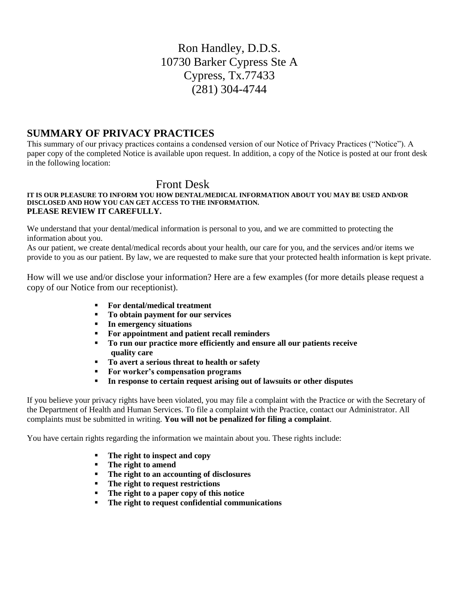# Ron Handley, D.D.S. 10730 Barker Cypress Ste A Cypress, Tx.77433 (281) 304-4744

## **SUMMARY OF PRIVACY PRACTICES**

This summary of our privacy practices contains a condensed version of our Notice of Privacy Practices ("Notice"). A paper copy of the completed Notice is available upon request. In addition, a copy of the Notice is posted at our front desk in the following location:

## Front Desk

### **IT IS OUR PLEASURE TO INFORM YOU HOW DENTAL/MEDICAL INFORMATION ABOUT YOU MAY BE USED AND/OR DISCLOSED AND HOW YOU CAN GET ACCESS TO THE INFORMATION. PLEASE REVIEW IT CAREFULLY.**

We understand that your dental/medical information is personal to you, and we are committed to protecting the information about you.

As our patient, we create dental/medical records about your health, our care for you, and the services and/or items we provide to you as our patient. By law, we are requested to make sure that your protected health information is kept private.

How will we use and/or disclose your information? Here are a few examples (for more details please request a copy of our Notice from our receptionist).

- **For dental/medical treatment**
- **To obtain payment for our services**
- 
- **For appointment and patient recall reminders**
- **To run our practice more efficiently and ensure all our patients receive quality care**
- **To avert a serious threat to health or safety**
- **For worker's compensation programs**
- **In response to certain request arising out of lawsuits or other disputes**

If you believe your privacy rights have been violated, you may file a complaint with the Practice or with the Secretary of the Department of Health and Human Services. To file a complaint with the Practice, contact our Administrator. All complaints must be submitted in writing. **You will not be penalized for filing a complaint**.

You have certain rights regarding the information we maintain about you. These rights include:

- **The right to inspect and copy**
- **The right to amend**
- **The right to an accounting of disclosures**
- **The right to request restrictions**
- **The right to a paper copy of this notice**
- **The right to request confidential communications**